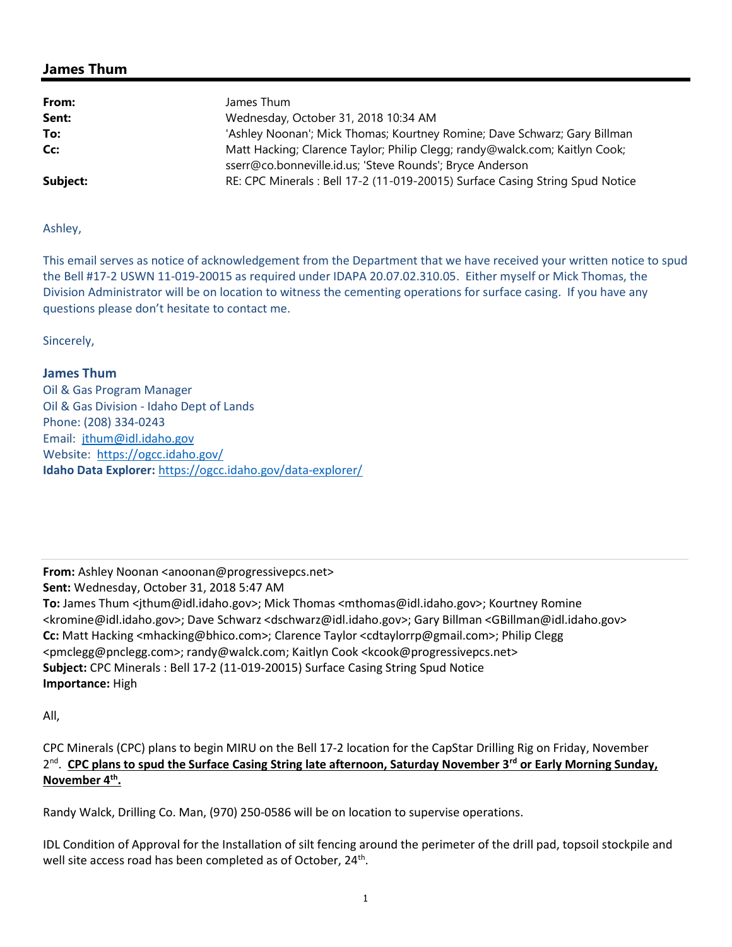## James Thum

| From:    | James Thum                                                                                                                               |
|----------|------------------------------------------------------------------------------------------------------------------------------------------|
| Sent:    | Wednesday, October 31, 2018 10:34 AM                                                                                                     |
| To:      | 'Ashley Noonan'; Mick Thomas; Kourtney Romine; Dave Schwarz; Gary Billman                                                                |
| Cc:      | Matt Hacking; Clarence Taylor; Philip Clegg; randy@walck.com; Kaitlyn Cook;<br>sserr@co.bonneville.id.us; 'Steve Rounds'; Bryce Anderson |
| Subject: | RE: CPC Minerals: Bell 17-2 (11-019-20015) Surface Casing String Spud Notice                                                             |

Ashley,

This email serves as notice of acknowledgement from the Department that we have received your written notice to spud the Bell #17-2 USWN 11-019-20015 as required under IDAPA 20.07.02.310.05. Either myself or Mick Thomas, the Division Administrator will be on location to witness the cementing operations for surface casing. If you have any questions please don't hesitate to contact me.

Sincerely,

## James Thum

Oil & Gas Program Manager Oil & Gas Division - Idaho Dept of Lands Phone: (208) 334-0243 Email: jthum@idl.idaho.gov Website: https://ogcc.idaho.gov/ Idaho Data Explorer: https://ogcc.idaho.gov/data-explorer/

From: Ashley Noonan <anoonan@progressivepcs.net>

Sent: Wednesday, October 31, 2018 5:47 AM

To: James Thum <jthum@idl.idaho.gov>; Mick Thomas <mthomas@idl.idaho.gov>; Kourtney Romine <kromine@idl.idaho.gov>; Dave Schwarz <dschwarz@idl.idaho.gov>; Gary Billman <GBillman@idl.idaho.gov> Cc: Matt Hacking <mhacking@bhico.com>; Clarence Taylor <cdtaylorrp@gmail.com>; Philip Clegg <pmclegg@pnclegg.com>; randy@walck.com; Kaitlyn Cook <kcook@progressivepcs.net> Subject: CPC Minerals : Bell 17-2 (11-019-20015) Surface Casing String Spud Notice Importance: High

All,

CPC Minerals (CPC) plans to begin MIRU on the Bell 17-2 location for the CapStar Drilling Rig on Friday, November 2<sup>nd</sup>. CPC plans to spud the Surface Casing String late afternoon, Saturday November 3<sup>rd</sup> or Early Morning Sunday, <u>November 4<sup>th</sup>.</u>

Randy Walck, Drilling Co. Man, (970) 250-0586 will be on location to supervise operations.

IDL Condition of Approval for the Installation of silt fencing around the perimeter of the drill pad, topsoil stockpile and well site access road has been completed as of October, 24<sup>th</sup>.